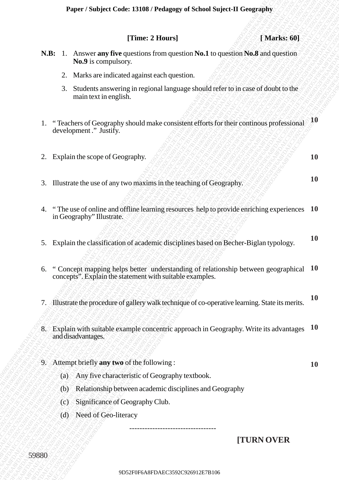|                                                                                    |     |  |                                                                                                                                                  |  |  |  |  | [Time: 2 Hours] |  |  |  |  |  |  |  |  |  |  |  |            | [Marks: 60] |  |                     |
|------------------------------------------------------------------------------------|-----|--|--------------------------------------------------------------------------------------------------------------------------------------------------|--|--|--|--|-----------------|--|--|--|--|--|--|--|--|--|--|--|------------|-------------|--|---------------------|
| N.B: 1. Answer any five questions from question No.1 to question No.8 and question |     |  | No.9 is compulsory.                                                                                                                              |  |  |  |  |                 |  |  |  |  |  |  |  |  |  |  |  |            |             |  |                     |
|                                                                                    | 2.  |  | Marks are indicated against each question.                                                                                                       |  |  |  |  |                 |  |  |  |  |  |  |  |  |  |  |  |            |             |  |                     |
|                                                                                    | 3.  |  | Students answering in regional language should refer to in case of doubt to the<br>main text in english.                                         |  |  |  |  |                 |  |  |  |  |  |  |  |  |  |  |  |            |             |  |                     |
| 1.                                                                                 |     |  | "Teachers of Geography should make consistent efforts for their continous professional<br>development." Justify.                                 |  |  |  |  |                 |  |  |  |  |  |  |  |  |  |  |  |            |             |  | $\mathbf{\Lambda}0$ |
| 2.                                                                                 |     |  | Explain the scope of Geography.                                                                                                                  |  |  |  |  |                 |  |  |  |  |  |  |  |  |  |  |  |            |             |  | <b>10</b>           |
| 3. Illustrate the use of any two maxims in the teaching of Geography.              |     |  |                                                                                                                                                  |  |  |  |  |                 |  |  |  |  |  |  |  |  |  |  |  |            |             |  | <b>10</b>           |
| 4.                                                                                 |     |  | "The use of online and offline learning resources help to provide enriching experiences 10<br>in Geography" Illustrate.                          |  |  |  |  |                 |  |  |  |  |  |  |  |  |  |  |  |            |             |  |                     |
| 5.                                                                                 |     |  | Explain the classification of academic disciplines based on Becher-Biglan typology.                                                              |  |  |  |  |                 |  |  |  |  |  |  |  |  |  |  |  |            |             |  | <b>10</b>           |
| 6.                                                                                 |     |  | " Concept mapping helps better understanding of relationship between geographical 10<br>concepts". Explain the statement with suitable examples. |  |  |  |  |                 |  |  |  |  |  |  |  |  |  |  |  |            |             |  |                     |
| 7.                                                                                 |     |  | Illustrate the procedure of gallery walk technique of co-operative learning. State its merits.                                                   |  |  |  |  |                 |  |  |  |  |  |  |  |  |  |  |  |            |             |  | <b>10</b>           |
| $8^{\circ}$                                                                        |     |  | Explain with suitable example concentric approach in Geography. Write its advantages $10$<br>and disadvantages.                                  |  |  |  |  |                 |  |  |  |  |  |  |  |  |  |  |  |            |             |  |                     |
| 9. Attempt briefly any two of the following :                                      |     |  |                                                                                                                                                  |  |  |  |  |                 |  |  |  |  |  |  |  |  |  |  |  |            |             |  | <b>10</b>           |
|                                                                                    | (a) |  | Any five characteristic of Geography textbook.                                                                                                   |  |  |  |  |                 |  |  |  |  |  |  |  |  |  |  |  |            |             |  |                     |
|                                                                                    | (b) |  | Relationship between academic disciplines and Geography                                                                                          |  |  |  |  |                 |  |  |  |  |  |  |  |  |  |  |  |            |             |  |                     |
|                                                                                    | (c) |  | Significance of Geography Club.                                                                                                                  |  |  |  |  |                 |  |  |  |  |  |  |  |  |  |  |  |            |             |  |                     |
|                                                                                    | (d) |  | Need of Geo-literacy                                                                                                                             |  |  |  |  |                 |  |  |  |  |  |  |  |  |  |  |  |            |             |  |                     |
|                                                                                    |     |  |                                                                                                                                                  |  |  |  |  |                 |  |  |  |  |  |  |  |  |  |  |  | [TURN OVER |             |  |                     |
| 59880                                                                              |     |  |                                                                                                                                                  |  |  |  |  |                 |  |  |  |  |  |  |  |  |  |  |  |            |             |  |                     |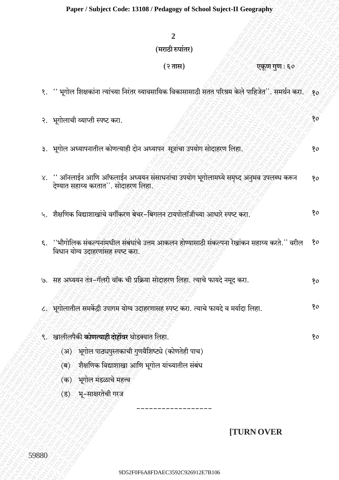## (मराठी रुपांतर)

## (२ तास)

## एकुण गुण : ६०

 $80$ 

80

- १. '' भूगोल शिक्षकांना त्यांच्या निरंतर व्यावसायिक विकासासाठी सतत परिश्रम केले पाहिजेत''. समर्थन करा.  $\mathcal{R}^{\bullet}$
- २. भूगोलाची व्याप्ती स्पष्ट करा.
- ३. भूगोल अध्यापनातील कोणत्याही दोन अध्यापन सूत्रांचा उपयोग सोदाहरण लिहा.
- '' ऑनलाईन आणि ऑफलाईन अध्ययन संसाधनांचा उपयोग भूगोलामध्ये समृध्द अनुभव उपलब्ध करून  $X_{\bullet}$  $80$ देण्यात सहाय्य करतात''. सोदाहरण लिहा.
- ५. शैक्षणिक विद्याशाखांचे वर्गीकरण बेचर-बिगलन टायपोलॉजीच्या आधारे स्पष्ट करा. 80
- ६. ''भौगोलिक संकल्पनांमधील संबंधांचे उत्तम आकलन होण्यासाठी संकल्पना रेखांकन सहाय्य करते.'' वरील 80 विधान योग्य उदाहरणांसह स्पष्ट करा.
- ७. सह अध्ययन तंत्र-गॅलरी वॉक ची प्रक्रिया सोदाहरण लिहा. त्याचे फायदे नमूद करा. 80
- ८. भगोलातील समकेंद्री उपागम योग्य उदाहरणासह स्पष्ट करा. त्याचे फायदे व मर्यादा लिहा.  $80$
- ९. खालीलपैकी **कोणत्याही दोहोंवर** थोडक्यात लिहा. 80 (अ) भूगोल पाठ्यपुस्तकाची गुणवैशिष्ट्ये (कोणतेही पाच)
	- (ब) शैक्षणिक विद्याशाखा आणि भूगोल यांच्यातील संबंध
	- (क) भूगोल मंडळाचे महत्त्व
	- (ड) भू-साक्षरतेची गरज

## **TURN OVER**